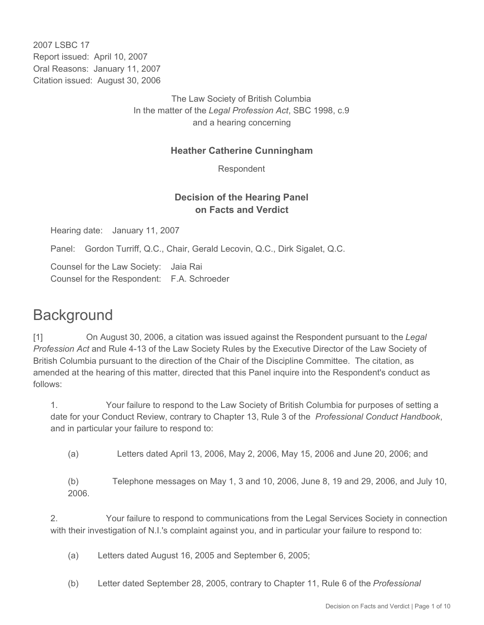2007 LSBC 17 Report issued: April 10, 2007 Oral Reasons: January 11, 2007 Citation issued: August 30, 2006

> The Law Society of British Columbia In the matter of the *Legal Profession Act*, SBC 1998, c.9 and a hearing concerning

#### **Heather Catherine Cunningham**

Respondent

## **Decision of the Hearing Panel on Facts and Verdict**

Hearing date: January 11, 2007

Panel: Gordon Turriff, Q.C., Chair, Gerald Lecovin, Q.C., Dirk Sigalet, Q.C.

Counsel for the Law Society: Jaia Rai Counsel for the Respondent: F.A. Schroeder

# **Background**

[1] On August 30, 2006, a citation was issued against the Respondent pursuant to the *Legal Profession Act* and Rule 4-13 of the Law Society Rules by the Executive Director of the Law Society of British Columbia pursuant to the direction of the Chair of the Discipline Committee. The citation, as amended at the hearing of this matter, directed that this Panel inquire into the Respondent's conduct as follows:

1. Your failure to respond to the Law Society of British Columbia for purposes of setting a date for your Conduct Review, contrary to Chapter 13, Rule 3 of the *Professional Conduct Handbook*, and in particular your failure to respond to:

(a) Letters dated April 13, 2006, May 2, 2006, May 15, 2006 and June 20, 2006; and

(b) Telephone messages on May 1, 3 and 10, 2006, June 8, 19 and 29, 2006, and July 10, 2006.

2. Your failure to respond to communications from the Legal Services Society in connection with their investigation of N.I.'s complaint against you, and in particular your failure to respond to:

(a) Letters dated August 16, 2005 and September 6, 2005;

(b) Letter dated September 28, 2005, contrary to Chapter 11, Rule 6 of the *Professional*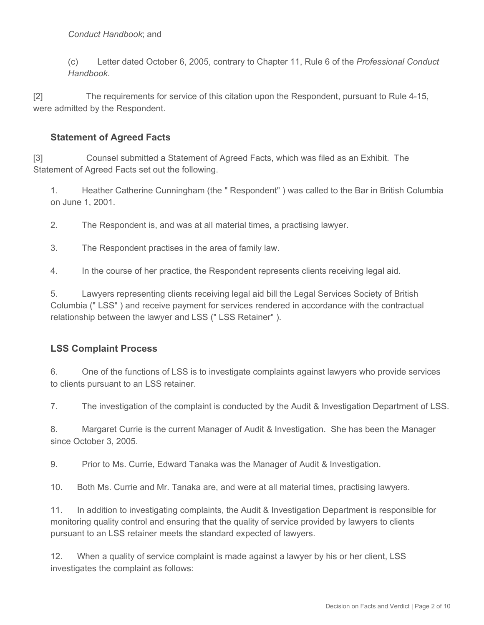#### *Conduct Handbook*; and

(c) Letter dated October 6, 2005, contrary to Chapter 11, Rule 6 of the *Professional Conduct Handbook*.

[2] The requirements for service of this citation upon the Respondent, pursuant to Rule 4-15, were admitted by the Respondent.

#### **Statement of Agreed Facts**

[3] Counsel submitted a Statement of Agreed Facts, which was filed as an Exhibit. The Statement of Agreed Facts set out the following.

1. Heather Catherine Cunningham (the " Respondent" ) was called to the Bar in British Columbia on June 1, 2001.

2. The Respondent is, and was at all material times, a practising lawyer.

3. The Respondent practises in the area of family law.

4. In the course of her practice, the Respondent represents clients receiving legal aid.

5. Lawyers representing clients receiving legal aid bill the Legal Services Society of British Columbia (" LSS" ) and receive payment for services rendered in accordance with the contractual relationship between the lawyer and LSS (" LSS Retainer" ).

#### **LSS Complaint Process**

6. One of the functions of LSS is to investigate complaints against lawyers who provide services to clients pursuant to an LSS retainer.

7. The investigation of the complaint is conducted by the Audit & Investigation Department of LSS.

8. Margaret Currie is the current Manager of Audit & Investigation. She has been the Manager since October 3, 2005.

9. Prior to Ms. Currie, Edward Tanaka was the Manager of Audit & Investigation.

10. Both Ms. Currie and Mr. Tanaka are, and were at all material times, practising lawyers.

11. In addition to investigating complaints, the Audit & Investigation Department is responsible for monitoring quality control and ensuring that the quality of service provided by lawyers to clients pursuant to an LSS retainer meets the standard expected of lawyers.

12. When a quality of service complaint is made against a lawyer by his or her client, LSS investigates the complaint as follows: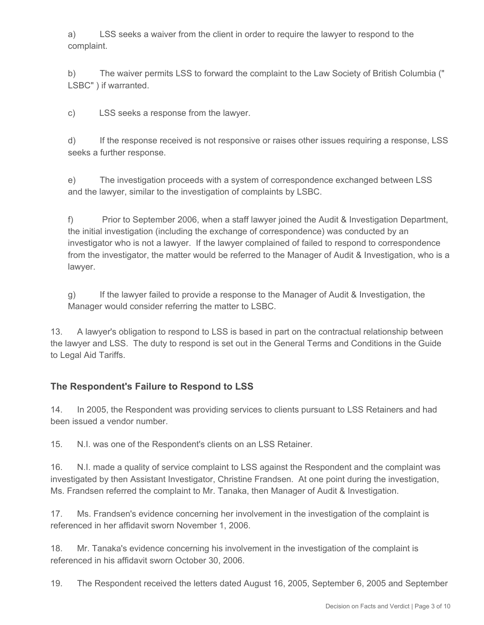a) LSS seeks a waiver from the client in order to require the lawyer to respond to the complaint.

b) The waiver permits LSS to forward the complaint to the Law Society of British Columbia (" LSBC" ) if warranted.

c) LSS seeks a response from the lawyer.

d) If the response received is not responsive or raises other issues requiring a response, LSS seeks a further response.

e) The investigation proceeds with a system of correspondence exchanged between LSS and the lawyer, similar to the investigation of complaints by LSBC.

f) Prior to September 2006, when a staff lawyer joined the Audit & Investigation Department, the initial investigation (including the exchange of correspondence) was conducted by an investigator who is not a lawyer. If the lawyer complained of failed to respond to correspondence from the investigator, the matter would be referred to the Manager of Audit & Investigation, who is a lawyer.

g) If the lawyer failed to provide a response to the Manager of Audit & Investigation, the Manager would consider referring the matter to LSBC.

13. A lawyer's obligation to respond to LSS is based in part on the contractual relationship between the lawyer and LSS. The duty to respond is set out in the General Terms and Conditions in the Guide to Legal Aid Tariffs.

#### **The Respondent's Failure to Respond to LSS**

14. In 2005, the Respondent was providing services to clients pursuant to LSS Retainers and had been issued a vendor number.

15. N.I. was one of the Respondent's clients on an LSS Retainer.

16. N.I. made a quality of service complaint to LSS against the Respondent and the complaint was investigated by then Assistant Investigator, Christine Frandsen. At one point during the investigation, Ms. Frandsen referred the complaint to Mr. Tanaka, then Manager of Audit & Investigation.

17. Ms. Frandsen's evidence concerning her involvement in the investigation of the complaint is referenced in her affidavit sworn November 1, 2006.

18. Mr. Tanaka's evidence concerning his involvement in the investigation of the complaint is referenced in his affidavit sworn October 30, 2006.

19. The Respondent received the letters dated August 16, 2005, September 6, 2005 and September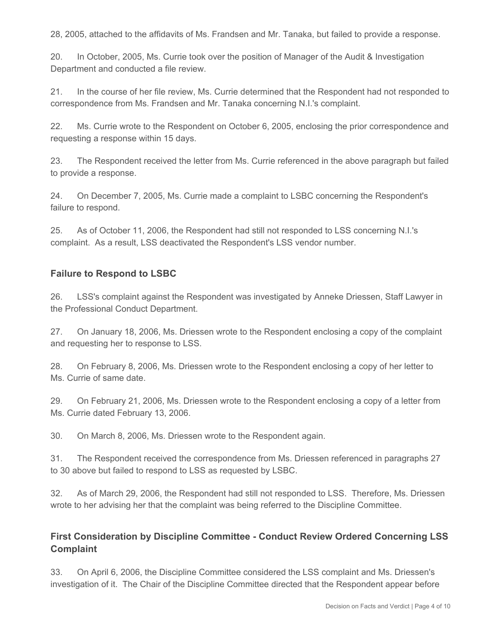28, 2005, attached to the affidavits of Ms. Frandsen and Mr. Tanaka, but failed to provide a response.

20. In October, 2005, Ms. Currie took over the position of Manager of the Audit & Investigation Department and conducted a file review.

21. In the course of her file review, Ms. Currie determined that the Respondent had not responded to correspondence from Ms. Frandsen and Mr. Tanaka concerning N.I.'s complaint.

22. Ms. Currie wrote to the Respondent on October 6, 2005, enclosing the prior correspondence and requesting a response within 15 days.

23. The Respondent received the letter from Ms. Currie referenced in the above paragraph but failed to provide a response.

24. On December 7, 2005, Ms. Currie made a complaint to LSBC concerning the Respondent's failure to respond.

25. As of October 11, 2006, the Respondent had still not responded to LSS concerning N.I.'s complaint. As a result, LSS deactivated the Respondent's LSS vendor number.

#### **Failure to Respond to LSBC**

26. LSS's complaint against the Respondent was investigated by Anneke Driessen, Staff Lawyer in the Professional Conduct Department.

27. On January 18, 2006, Ms. Driessen wrote to the Respondent enclosing a copy of the complaint and requesting her to response to LSS.

28. On February 8, 2006, Ms. Driessen wrote to the Respondent enclosing a copy of her letter to Ms. Currie of same date.

29. On February 21, 2006, Ms. Driessen wrote to the Respondent enclosing a copy of a letter from Ms. Currie dated February 13, 2006.

30. On March 8, 2006, Ms. Driessen wrote to the Respondent again.

31. The Respondent received the correspondence from Ms. Driessen referenced in paragraphs 27 to 30 above but failed to respond to LSS as requested by LSBC.

32. As of March 29, 2006, the Respondent had still not responded to LSS. Therefore, Ms. Driessen wrote to her advising her that the complaint was being referred to the Discipline Committee.

### **First Consideration by Discipline Committee - Conduct Review Ordered Concerning LSS Complaint**

33. On April 6, 2006, the Discipline Committee considered the LSS complaint and Ms. Driessen's investigation of it. The Chair of the Discipline Committee directed that the Respondent appear before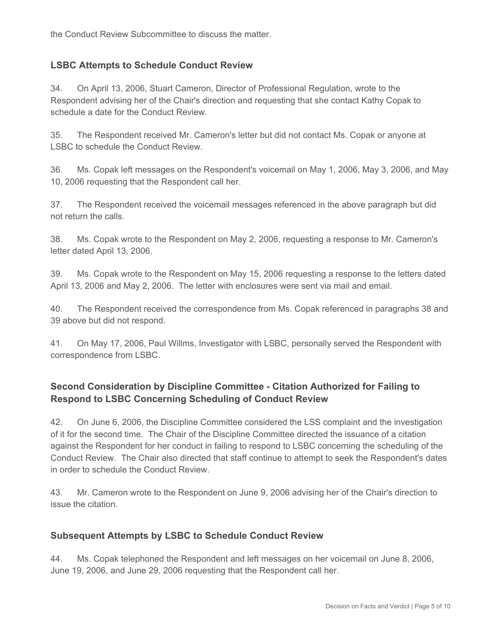the Conduct Review Subcommittee to discuss the matter.

#### **LSBC Attempts to Schedule Conduct Review**

34. On April 13, 2006, Stuart Cameron, Director of Professional Regulation, wrote to the Respondent advising her of the Chair's direction and requesting that she contact Kathy Copak to schedule a date for the Conduct Review.

35. The Respondent received Mr. Cameron's letter but did not contact Ms. Copak or anyone at LSBC to schedule the Conduct Review.

36. Ms. Copak left messages on the Respondent's voicemail on May 1, 2006, May 3, 2006, and May 10, 2006 requesting that the Respondent call her.

37. The Respondent received the voicemail messages referenced in the above paragraph but did not return the calls.

38. Ms. Copak wrote to the Respondent on May 2, 2006, requesting a response to Mr. Cameron's letter dated April 13, 2006.

39. Ms. Copak wrote to the Respondent on May 15, 2006 requesting a response to the letters dated April 13, 2006 and May 2, 2006. The letter with enclosures were sent via mail and email.

40. The Respondent received the correspondence from Ms. Copak referenced in paragraphs 38 and 39 above but did not respond.

41. On May 17, 2006, Paul Willms, Investigator with LSBC, personally served the Respondent with correspondence from LSBC.

# **Second Consideration by Discipline Committee - Citation Authorized for Failing to Respond to LSBC Concerning Scheduling of Conduct Review**

42. On June 6, 2006, the Discipline Committee considered the LSS complaint and the investigation of it for the second time. The Chair of the Discipline Committee directed the issuance of a citation against the Respondent for her conduct in failing to respond to LSBC concerning the scheduling of the Conduct Review. The Chair also directed that staff continue to attempt to seek the Respondent's dates in order to schedule the Conduct Review.

43. Mr. Cameron wrote to the Respondent on June 9, 2006 advising her of the Chair's direction to issue the citation.

#### **Subsequent Attempts by LSBC to Schedule Conduct Review**

44. Ms. Copak telephoned the Respondent and left messages on her voicemail on June 8, 2006, June 19, 2006, and June 29, 2006 requesting that the Respondent call her.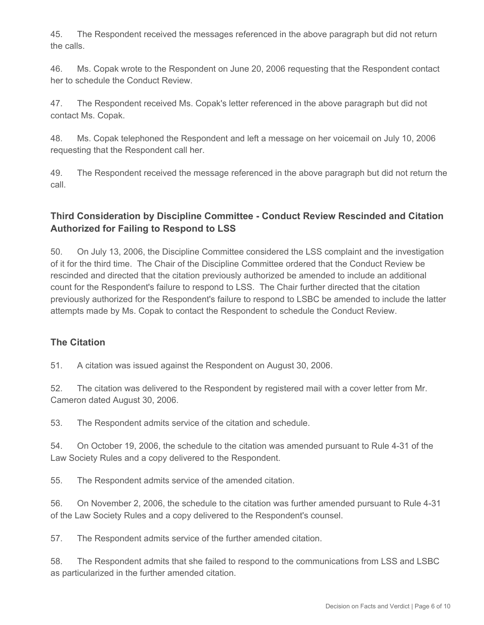45. The Respondent received the messages referenced in the above paragraph but did not return the calls.

46. Ms. Copak wrote to the Respondent on June 20, 2006 requesting that the Respondent contact her to schedule the Conduct Review.

47. The Respondent received Ms. Copak's letter referenced in the above paragraph but did not contact Ms. Copak.

48. Ms. Copak telephoned the Respondent and left a message on her voicemail on July 10, 2006 requesting that the Respondent call her.

49. The Respondent received the message referenced in the above paragraph but did not return the call.

# **Third Consideration by Discipline Committee - Conduct Review Rescinded and Citation Authorized for Failing to Respond to LSS**

50. On July 13, 2006, the Discipline Committee considered the LSS complaint and the investigation of it for the third time. The Chair of the Discipline Committee ordered that the Conduct Review be rescinded and directed that the citation previously authorized be amended to include an additional count for the Respondent's failure to respond to LSS. The Chair further directed that the citation previously authorized for the Respondent's failure to respond to LSBC be amended to include the latter attempts made by Ms. Copak to contact the Respondent to schedule the Conduct Review.

#### **The Citation**

51. A citation was issued against the Respondent on August 30, 2006.

52. The citation was delivered to the Respondent by registered mail with a cover letter from Mr. Cameron dated August 30, 2006.

53. The Respondent admits service of the citation and schedule.

54. On October 19, 2006, the schedule to the citation was amended pursuant to Rule 4-31 of the Law Society Rules and a copy delivered to the Respondent.

55. The Respondent admits service of the amended citation.

56. On November 2, 2006, the schedule to the citation was further amended pursuant to Rule 4-31 of the Law Society Rules and a copy delivered to the Respondent's counsel.

57. The Respondent admits service of the further amended citation.

58. The Respondent admits that she failed to respond to the communications from LSS and LSBC as particularized in the further amended citation.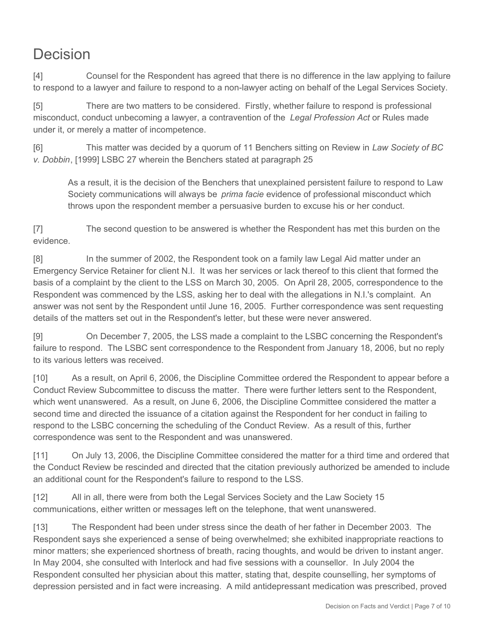# Decision

[4] Counsel for the Respondent has agreed that there is no difference in the law applying to failure to respond to a lawyer and failure to respond to a non-lawyer acting on behalf of the Legal Services Society.

[5] There are two matters to be considered. Firstly, whether failure to respond is professional misconduct, conduct unbecoming a lawyer, a contravention of the *Legal Profession Act* or Rules made under it, or merely a matter of incompetence.

[6] This matter was decided by a quorum of 11 Benchers sitting on Review in *Law Society of BC v. Dobbin*, [1999] LSBC 27 wherein the Benchers stated at paragraph 25

As a result, it is the decision of the Benchers that unexplained persistent failure to respond to Law Society communications will always be *prima facie* evidence of professional misconduct which throws upon the respondent member a persuasive burden to excuse his or her conduct.

[7] The second question to be answered is whether the Respondent has met this burden on the evidence.

[8] In the summer of 2002, the Respondent took on a family law Legal Aid matter under an Emergency Service Retainer for client N.I. It was her services or lack thereof to this client that formed the basis of a complaint by the client to the LSS on March 30, 2005. On April 28, 2005, correspondence to the Respondent was commenced by the LSS, asking her to deal with the allegations in N.I.'s complaint. An answer was not sent by the Respondent until June 16, 2005. Further correspondence was sent requesting details of the matters set out in the Respondent's letter, but these were never answered.

[9] On December 7, 2005, the LSS made a complaint to the LSBC concerning the Respondent's failure to respond. The LSBC sent correspondence to the Respondent from January 18, 2006, but no reply to its various letters was received.

[10] As a result, on April 6, 2006, the Discipline Committee ordered the Respondent to appear before a Conduct Review Subcommittee to discuss the matter. There were further letters sent to the Respondent, which went unanswered. As a result, on June 6, 2006, the Discipline Committee considered the matter a second time and directed the issuance of a citation against the Respondent for her conduct in failing to respond to the LSBC concerning the scheduling of the Conduct Review. As a result of this, further correspondence was sent to the Respondent and was unanswered.

[11] On July 13, 2006, the Discipline Committee considered the matter for a third time and ordered that the Conduct Review be rescinded and directed that the citation previously authorized be amended to include an additional count for the Respondent's failure to respond to the LSS.

[12] All in all, there were from both the Legal Services Society and the Law Society 15 communications, either written or messages left on the telephone, that went unanswered.

[13] The Respondent had been under stress since the death of her father in December 2003. The Respondent says she experienced a sense of being overwhelmed; she exhibited inappropriate reactions to minor matters; she experienced shortness of breath, racing thoughts, and would be driven to instant anger. In May 2004, she consulted with Interlock and had five sessions with a counsellor. In July 2004 the Respondent consulted her physician about this matter, stating that, despite counselling, her symptoms of depression persisted and in fact were increasing. A mild antidepressant medication was prescribed, proved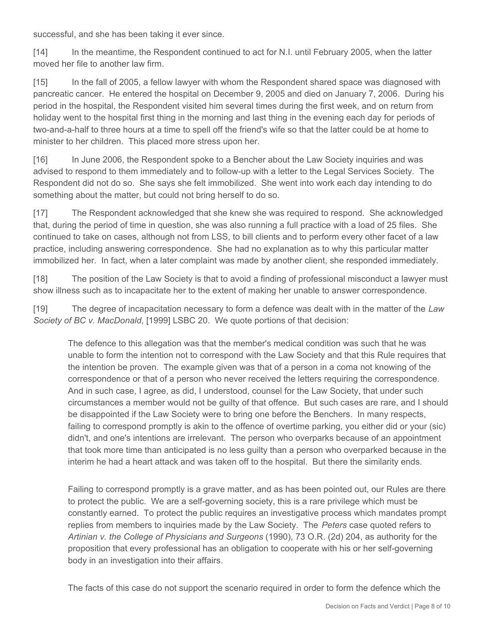successful, and she has been taking it ever since.

[14] In the meantime, the Respondent continued to act for N.I. until February 2005, when the latter moved her file to another law firm.

[15] In the fall of 2005, a fellow lawyer with whom the Respondent shared space was diagnosed with pancreatic cancer. He entered the hospital on December 9, 2005 and died on January 7, 2006. During his period in the hospital, the Respondent visited him several times during the first week, and on return from holiday went to the hospital first thing in the morning and last thing in the evening each day for periods of two-and-a-half to three hours at a time to spell off the friend's wife so that the latter could be at home to minister to her children. This placed more stress upon her.

[16] In June 2006, the Respondent spoke to a Bencher about the Law Society inquiries and was advised to respond to them immediately and to follow-up with a letter to the Legal Services Society. The Respondent did not do so. She says she felt immobilized. She went into work each day intending to do something about the matter, but could not bring herself to do so.

[17] The Respondent acknowledged that she knew she was required to respond. She acknowledged that, during the period of time in question, she was also running a full practice with a load of 25 files. She continued to take on cases, although not from LSS, to bill clients and to perform every other facet of a law practice, including answering correspondence. She had no explanation as to why this particular matter immobilized her. In fact, when a later complaint was made by another client, she responded immediately.

[18] The position of the Law Society is that to avoid a finding of professional misconduct a lawyer must show illness such as to incapacitate her to the extent of making her unable to answer correspondence.

[19] The degree of incapacitation necessary to form a defence was dealt with in the matter of the *Law Society of BC v. MacDonald*, [1999] LSBC 20. We quote portions of that decision:

The defence to this allegation was that the member's medical condition was such that he was unable to form the intention not to correspond with the Law Society and that this Rule requires that the intention be proven. The example given was that of a person in a coma not knowing of the correspondence or that of a person who never received the letters requiring the correspondence. And in such case, I agree, as did, I understood, counsel for the Law Society, that under such circumstances a member would not be guilty of that offence. But such cases are rare, and I should be disappointed if the Law Society were to bring one before the Benchers. In many respects, failing to correspond promptly is akin to the offence of overtime parking, you either did or your (sic) didn't, and one's intentions are irrelevant. The person who overparks because of an appointment that took more time than anticipated is no less guilty than a person who overparked because in the interim he had a heart attack and was taken off to the hospital. But there the similarity ends.

Failing to correspond promptly is a grave matter, and as has been pointed out, our Rules are there to protect the public. We are a self-governing society, this is a rare privilege which must be constantly earned. To protect the public requires an investigative process which mandates prompt replies from members to inquiries made by the Law Society. The *Peters* case quoted refers to *Artinian v. the College of Physicians and Surgeons* (1990), 73 O.R. (2d) 204, as authority for the proposition that every professional has an obligation to cooperate with his or her self-governing body in an investigation into their affairs.

The facts of this case do not support the scenario required in order to form the defence which the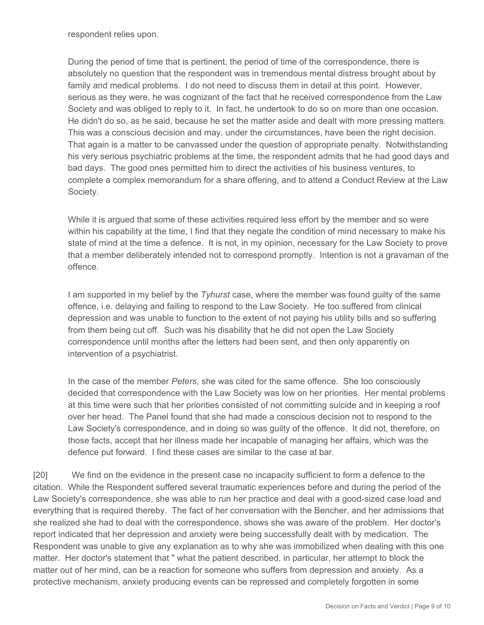respondent relies upon.

During the period of time that is pertinent, the period of time of the correspondence, there is absolutely no question that the respondent was in tremendous mental distress brought about by family and medical problems. I do not need to discuss them in detail at this point. However, serious as they were, he was cognizant of the fact that he received correspondence from the Law Society and was obliged to reply to it. In fact, he undertook to do so on more than one occasion. He didn't do so, as he said, because he set the matter aside and dealt with more pressing matters. This was a conscious decision and may, under the circumstances, have been the right decision. That again is a matter to be canvassed under the question of appropriate penalty. Notwithstanding his very serious psychiatric problems at the time, the respondent admits that he had good days and bad days. The good ones permitted him to direct the activities of his business ventures, to complete a complex memorandum for a share offering, and to attend a Conduct Review at the Law Society.

While it is argued that some of these activities required less effort by the member and so were within his capability at the time, I find that they negate the condition of mind necessary to make his state of mind at the time a defence. It is not, in my opinion, necessary for the Law Society to prove that a member deliberately intended not to correspond promptly. Intention is not a gravaman of the offence.

I am supported in my belief by the *Tyhurst* case, where the member was found guilty of the same offence, i.e. delaying and failing to respond to the Law Society. He too suffered from clinical depression and was unable to function to the extent of not paying his utility bills and so suffering from them being cut off. Such was his disability that he did not open the Law Society correspondence until months after the letters had been sent, and then only apparently on intervention of a psychiatrist.

In the case of the member *Peters*, she was cited for the same offence. She too consciously decided that correspondence with the Law Society was low on her priorities. Her mental problems at this time were such that her priorities consisted of not committing suicide and in keeping a roof over her head. The Panel found that she had made a conscious decision not to respond to the Law Society's correspondence, and in doing so was guilty of the offence. It did not, therefore, on those facts, accept that her illness made her incapable of managing her affairs, which was the defence put forward. I find these cases are similar to the case at bar.

[20] We find on the evidence in the present case no incapacity sufficient to form a defence to the citation. While the Respondent suffered several traumatic experiences before and during the period of the Law Society's correspondence, she was able to run her practice and deal with a good-sized case load and everything that is required thereby. The fact of her conversation with the Bencher, and her admissions that she realized she had to deal with the correspondence, shows she was aware of the problem. Her doctor's report indicated that her depression and anxiety were being successfully dealt with by medication. The Respondent was unable to give any explanation as to why she was immobilized when dealing with this one matter. Her doctor's statement that " what the patient described, in particular, her attempt to block the matter out of her mind, can be a reaction for someone who suffers from depression and anxiety. As a protective mechanism, anxiety producing events can be repressed and completely forgotten in some